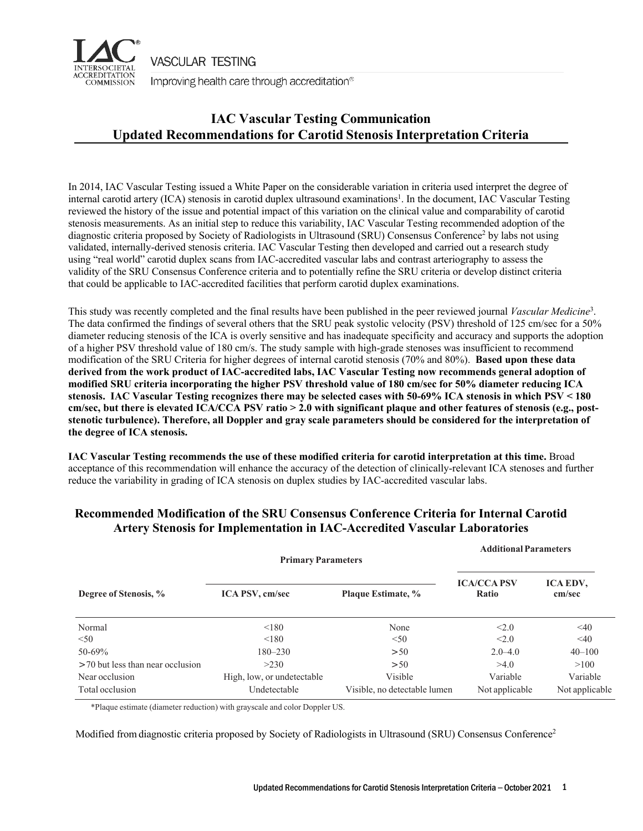

**VASCULAR TESTING** 

Improving health care through accreditation®

## **IAC Vascular Testing Communication Updated Recommendations for Carotid Stenosis Interpretation Criteria**

In 2014, IAC Vascular Testing issued a White Paper on the considerable variation in criteria used interpret the degree of internal carotid artery (ICA) stenosis in carotid duplex ultrasound examinations<sup>1</sup>. In the document, IAC Vascular Testing reviewed the history of the issue and potential impact of this variation on the clinical value and comparability of carotid stenosis measurements. As an initial step to reduce this variability, IAC Vascular Testing recommended adoption of the diagnostic criteria proposed by Society of Radiologists in Ultrasound (SRU) Consensus Conference<sup>2</sup> by labs not using validated, internally-derived stenosis criteria. IAC Vascular Testing then developed and carried out a research study using "real world" carotid duplex scans from IAC-accredited vascular labs and contrast arteriography to assess the validity of the SRU Consensus Conference criteria and to potentially refine the SRU criteria or develop distinct criteria that could be applicable to IAC-accredited facilities that perform carotid duplex examinations.

This study was recently completed and the final results have been published in the peer reviewed journal *Vascular Medicine*<sup>3</sup> . The data confirmed the findings of several others that the SRU peak systolic velocity (PSV) threshold of 125 cm/sec for a 50% diameter reducing stenosis of the ICA is overly sensitive and has inadequate specificity and accuracy and supports the adoption of a higher PSV threshold value of 180 cm/s. The study sample with high-grade stenoses was insufficient to recommend modification of the SRU Criteria for higher degrees of internal carotid stenosis (70% and 80%). **Based upon these data derived from the work product of IAC-accredited labs, IAC Vascular Testing now recommends general adoption of modified SRU criteria incorporating the higher PSV threshold value of 180 cm/sec for 50% diameter reducing ICA stenosis. IAC Vascular Testing recognizes there may be selected cases with 50-69% ICA stenosis in which PSV < 180 cm/sec, but there is elevated ICA/CCA PSV ratio > 2.0 with significant plaque and other features of stenosis (e.g., poststenotic turbulence). Therefore, all Doppler and gray scale parameters should be considered for the interpretation of the degree of ICA stenosis.** 

**IAC Vascular Testing recommends the use of these modified criteria for carotid interpretation at this time.** Broad acceptance of this recommendation will enhance the accuracy of the detection of clinically-relevant ICA stenoses and further reduce the variability in grading of ICA stenosis on duplex studies by IAC-accredited vascular labs.

| <b>Primary Parameters</b>        |                            |                              | Augitional Papameters       |                    |
|----------------------------------|----------------------------|------------------------------|-----------------------------|--------------------|
| Degree of Stenosis, %            | <b>ICA PSV, cm/sec</b>     | Plaque Estimate, %           | <b>ICA/CCA PSV</b><br>Ratio | ICA EDV,<br>cm/sec |
| Normal                           | < 180                      | None                         | < 2.0                       | $\leq 40$          |
| < 50                             | < 180                      | < 50                         | < 2.0                       | $\leq 40$          |
| 50-69%                           | 180-230                    | >50                          | $2.0 - 4.0$                 | $40 - 100$         |
| >70 but less than near occlusion | >230                       | >50                          | >4.0                        | >100               |
| Near occlusion                   | High, low, or undetectable | Visible                      | Variable                    | Variable           |
| Total occlusion                  | Undetectable               | Visible, no detectable lumen | Not applicable              | Not applicable     |

## **Recommended Modification of the SRU Consensus Conference Criteria for Internal Carotid Artery Stenosis for Implementation in IAC-Accredited Vascular Laboratories**

\*Plaque estimate (diameter reduction) with grayscale and color Doppler US.

Modified from diagnostic criteria proposed by Society of Radiologists in Ultrasound (SRU) Consensus Conference<sup>2</sup>

**AdditionalParameters**